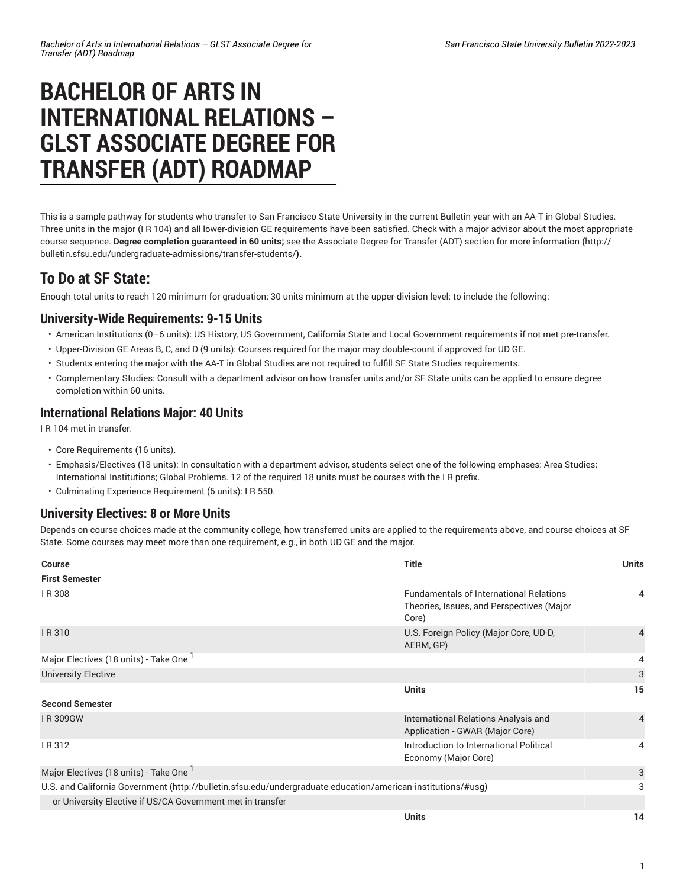# **BACHELOR OF ARTS IN INTERNATIONAL RELATIONS – GLST ASSOCIATE DEGREE FOR TRANSFER (ADT) ROADMAP**

This is a sample pathway for students who transfer to San Francisco State University in the current Bulletin year with an AA-T in Global Studies. Three units in the major (I R 104) and all lower-division GE requirements have been satisfied. Check with a major advisor about the most appropriate course sequence. **Degree completion guaranteed in 60 units;** see the Associate Degree for Transfer (ADT) section for more [information](http://bulletin.sfsu.edu/undergraduate-admissions/transfer-students/) **(**[http://](http://bulletin.sfsu.edu/undergraduate-admissions/transfer-students/) [bulletin.sfsu.edu/undergraduate-admissions/transfer-students/](http://bulletin.sfsu.edu/undergraduate-admissions/transfer-students/)**).**

## **To Do at SF State:**

Enough total units to reach 120 minimum for graduation; 30 units minimum at the upper-division level; to include the following:

#### **University-Wide Requirements: 9-15 Units**

- American Institutions (0–6 units): US History, US Government, California State and Local Government requirements if not met pre-transfer.
- Upper-Division GE Areas B, C, and D (9 units): Courses required for the major may double-count if approved for UD GE.
- Students entering the major with the AA-T in Global Studies are not required to fulfill SF State Studies requirements.
- Complementary Studies: Consult with a department advisor on how transfer units and/or SF State units can be applied to ensure degree completion within 60 units.

#### **International Relations Major: 40 Units**

I R 104 met in transfer.

- Core Requirements (16 units).
- Emphasis/Electives (18 units): In consultation with a department advisor, students select one of the following emphases: Area Studies; International Institutions; Global Problems. 12 of the required 18 units must be courses with the I R prefix.
- Culminating Experience Requirement (6 units): I R 550.

#### **University Electives: 8 or More Units**

Depends on course choices made at the community college, how transferred units are applied to the requirements above, and course choices at SF State. Some courses may meet more than one requirement, e.g., in both UD GE and the major.

| Course                                                                                                       | <b>Title</b>                                                                                         | <b>Units</b>   |
|--------------------------------------------------------------------------------------------------------------|------------------------------------------------------------------------------------------------------|----------------|
| <b>First Semester</b>                                                                                        |                                                                                                      |                |
| IR 308                                                                                                       | <b>Fundamentals of International Relations</b><br>Theories, Issues, and Perspectives (Major<br>Core) | 4              |
| IR 310                                                                                                       | U.S. Foreign Policy (Major Core, UD-D,<br>AERM, GP)                                                  | $\overline{4}$ |
| Major Electives (18 units) - Take One                                                                        |                                                                                                      | 4              |
| <b>University Elective</b>                                                                                   |                                                                                                      | 3              |
|                                                                                                              | <b>Units</b>                                                                                         | 15             |
| <b>Second Semester</b>                                                                                       |                                                                                                      |                |
| <b>IR309GW</b>                                                                                               | International Relations Analysis and<br>Application - GWAR (Major Core)                              | $\overline{4}$ |
| IR 312                                                                                                       | Introduction to International Political<br>Economy (Major Core)                                      | 4              |
| Major Electives (18 units) - Take One 1                                                                      |                                                                                                      | 3              |
| U.S. and California Government (http://bulletin.sfsu.edu/undergraduate-education/american-institutions/#usg) |                                                                                                      | 3              |
| or University Elective if US/CA Government met in transfer                                                   |                                                                                                      |                |
|                                                                                                              | <b>Units</b>                                                                                         | 14             |